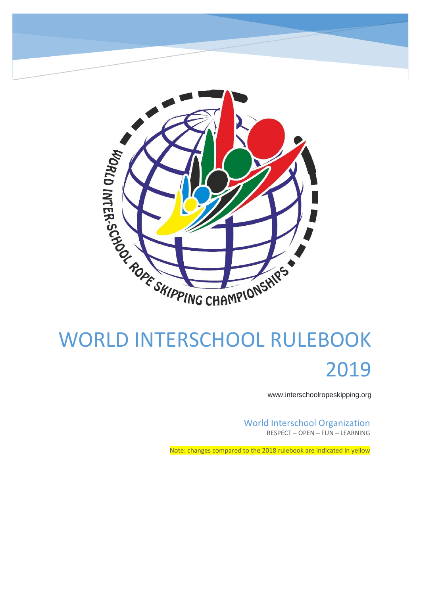

# 2019

www.interschoolropeskipping.org

World Interschool Organization RESPECT – OPEN – FUN – LEARNING

Note: changes compared to the 2018 rulebook are indicated in yellow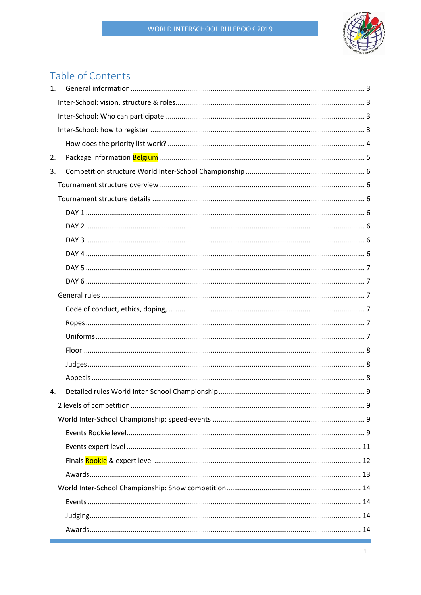

# Table of Contents

| $\mathbf{1}$ . |  |
|----------------|--|
|                |  |
|                |  |
|                |  |
|                |  |
| 2.             |  |
| 3.             |  |
|                |  |
|                |  |
|                |  |
|                |  |
|                |  |
|                |  |
|                |  |
|                |  |
|                |  |
|                |  |
|                |  |
|                |  |
|                |  |
|                |  |
|                |  |
| 4.             |  |
|                |  |
|                |  |
|                |  |
|                |  |
|                |  |
|                |  |
|                |  |
|                |  |
|                |  |
|                |  |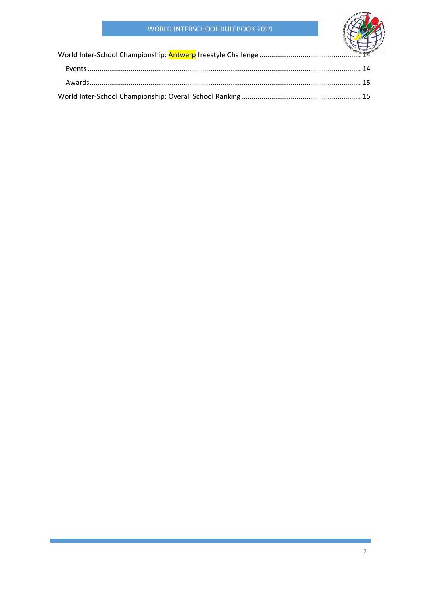# **WORLD INTERSCHOOL RULEBOOK 2019**

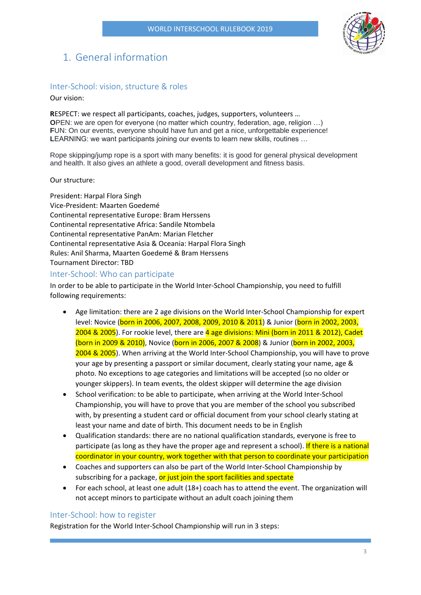

# <span id="page-3-0"></span>1. General information

# <span id="page-3-1"></span>Inter-School: vision, structure & roles

Our vision:

**R**ESPECT: we respect all participants, coaches, judges, supporters, volunteers … **OPEN:** we are open for everyone (no matter which country, federation, age, religion ...) **F**UN: On our events, everyone should have fun and get a nice, unforgettable experience! **L**EARNING: we want participants joining our events to learn new skills, routines …

Rope skipping/jump rope is a sport with many benefits: it is good for general physical development and health. It also gives an athlete a good, overall development and fitness basis.

#### Our structure:

President: Harpal Flora Singh Vice-President: Maarten Goedemé Continental representative Europe: Bram Herssens Continental representative Africa: Sandile Ntombela Continental representative PanAm: Marian Fletcher Continental representative Asia & Oceania: Harpal Flora Singh Rules: Anil Sharma, Maarten Goedemé & Bram Herssens Tournament Director: TBD

# <span id="page-3-2"></span>Inter-School: Who can participate

In order to be able to participate in the World Inter-School Championship, you need to fulfill following requirements:

- Age limitation: there are 2 age divisions on the World Inter-School Championship for expert level: Novice (born in 2006, 2007, 2008, 2009, 2010 & 2011) & Junior (born in 2002, 2003, 2004 & 2005). For rookie level, there are 4 age divisions: Mini (born in 2011 & 2012). Cadet (born in 2009 & 2010), Novice (born in 2006, 2007 & 2008) & Junior (born in 2002, 2003, 2004 & 2005). When arriving at the World Inter-School Championship, you will have to prove your age by presenting a passport or similar document, clearly stating your name, age & photo. No exceptions to age categories and limitations will be accepted (so no older or younger skippers). In team events, the oldest skipper will determine the age division
- School verification: to be able to participate, when arriving at the World Inter-School Championship, you will have to prove that you are member of the school you subscribed with, by presenting a student card or official document from your school clearly stating at least your name and date of birth. This document needs to be in English
- Qualification standards: there are no national qualification standards, everyone is free to participate (as long as they have the proper age and represent a school). If there is a national coordinator in your country, work together with that person to coordinate your participation
- Coaches and supporters can also be part of the World Inter-School Championship by subscribing for a package, or just join the sport facilities and spectate
- For each school, at least one adult (18+) coach has to attend the event. The organization will not accept minors to participate without an adult coach joining them

# <span id="page-3-3"></span>Inter-School: how to register

Registration for the World Inter-School Championship will run in 3 steps: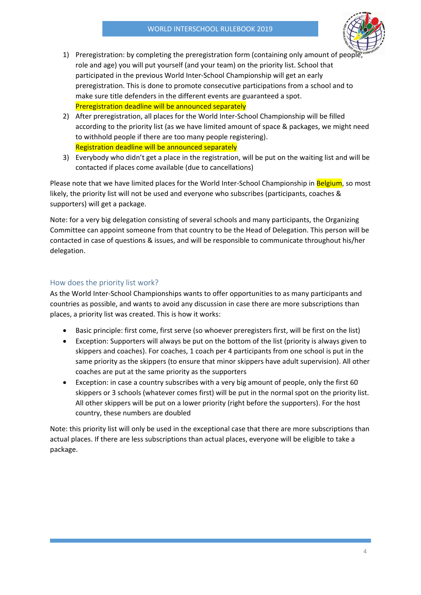

- 1) Preregistration: by completing the preregistration form (containing only amount of people role and age) you will put yourself (and your team) on the priority list. School that participated in the previous World Inter-School Championship will get an early preregistration. This is done to promote consecutive participations from a school and to make sure title defenders in the different events are guaranteed a spot. Preregistration deadline will be announced separately
- 2) After preregistration, all places for the World Inter-School Championship will be filled according to the priority list (as we have limited amount of space & packages, we might need to withhold people if there are too many people registering). Registration deadline will be announced separately
- 3) Everybody who didn't get a place in the registration, will be put on the waiting list and will be contacted if places come available (due to cancellations)

Please note that we have limited places for the World Inter-School Championship in Belgium, so most likely, the priority list will not be used and everyone who subscribes (participants, coaches & supporters) will get a package.

Note: for a very big delegation consisting of several schools and many participants, the Organizing Committee can appoint someone from that country to be the Head of Delegation. This person will be contacted in case of questions & issues, and will be responsible to communicate throughout his/her delegation.

# <span id="page-4-0"></span>How does the priority list work?

As the World Inter-School Championships wants to offer opportunities to as many participants and countries as possible, and wants to avoid any discussion in case there are more subscriptions than places, a priority list was created. This is how it works:

- Basic principle: first come, first serve (so whoever preregisters first, will be first on the list)
- Exception: Supporters will always be put on the bottom of the list (priority is always given to skippers and coaches). For coaches, 1 coach per 4 participants from one school is put in the same priority as the skippers (to ensure that minor skippers have adult supervision). All other coaches are put at the same priority as the supporters
- Exception: in case a country subscribes with a very big amount of people, only the first 60 skippers or 3 schools (whatever comes first) will be put in the normal spot on the priority list. All other skippers will be put on a lower priority (right before the supporters). For the host country, these numbers are doubled

Note: this priority list will only be used in the exceptional case that there are more subscriptions than actual places. If there are less subscriptions than actual places, everyone will be eligible to take a package.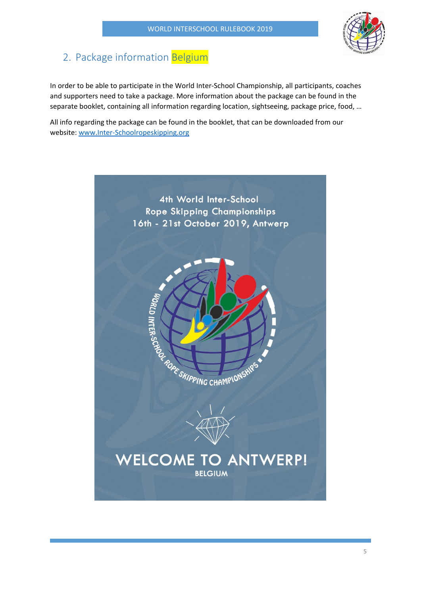

# <span id="page-5-0"></span>2. Package information Belgium

In order to be able to participate in the World Inter-School Championship, all participants, coaches and supporters need to take a package. More information about the package can be found in the separate booklet, containing all information regarding location, sightseeing, package price, food, …

All info regarding the package can be found in the booklet, that can be downloaded from our website: [www.Inter-Schoolropeskipping.org](http://www.inter-schoolropeskipping.org/)

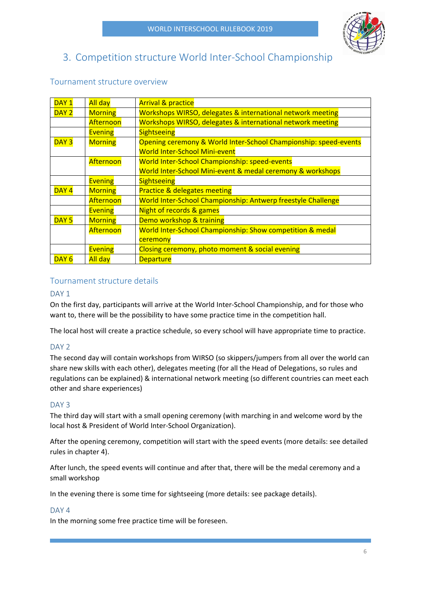

# <span id="page-6-0"></span>3. Competition structure World Inter-School Championship

# $\overline{DAY}$  |  $\overline{All}$  day |  $\overline{Arrival}$  & practice DAY 2 Morning Workshops WIRSO, delegates & international network meeting  $\text{Afternoon}$  Workshops WIRSO, delegates & international network meeting Evening | Sightseeing DAY 3 | Morning | Opening ceremony & World Inter-School Championship: speed-events World Inter-School Mini-event Afternoon | World Inter-School Championship: speed-events World Inter-School Mini-event & medal ceremony & workshops Evening | Sightseeing  $\overline{DAY4}$  Morning | Practice & delegates meeting Afternoon | World Inter-School Championship: Antwerp freestyle Challenge Evening  $\blacksquare$  Night of records & games  $\overline{DAY5}$  Morning | Demo workshop & training  $After no on$   $\vert$  World Inter-School Championship: Show competition & medal **ceremony** Evening  $\Box$  Closing ceremony, photo moment & social evening DAY 6 | All day | Departure

# <span id="page-6-1"></span>Tournament structure overview

# <span id="page-6-2"></span>Tournament structure details

# <span id="page-6-3"></span>DAY<sub>1</sub>

On the first day, participants will arrive at the World Inter-School Championship, and for those who want to, there will be the possibility to have some practice time in the competition hall.

The local host will create a practice schedule, so every school will have appropriate time to practice.

# <span id="page-6-4"></span>DAY<sub>2</sub>

The second day will contain workshops from WIRSO (so skippers/jumpers from all over the world can share new skills with each other), delegates meeting (for all the Head of Delegations, so rules and regulations can be explained) & international network meeting (so different countries can meet each other and share experiences)

# <span id="page-6-5"></span>DAY<sub>3</sub>

The third day will start with a small opening ceremony (with marching in and welcome word by the local host & President of World Inter-School Organization).

After the opening ceremony, competition will start with the speed events (more details: see detailed rules in chapter 4).

After lunch, the speed events will continue and after that, there will be the medal ceremony and a small workshop

In the evening there is some time for sightseeing (more details: see package details).

# <span id="page-6-6"></span>DAY<sub>4</sub>

In the morning some free practice time will be foreseen.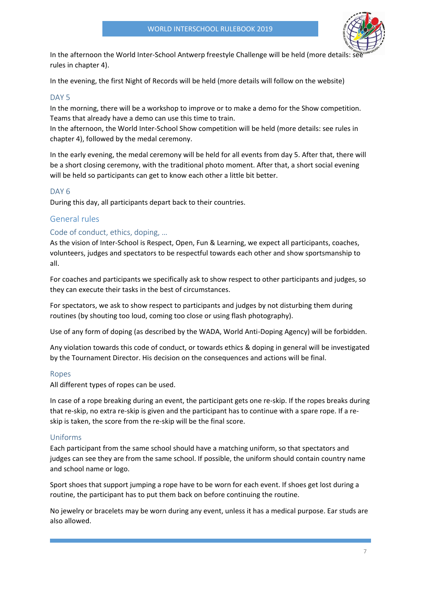

In the afternoon the World Inter-School Antwerp freestyle Challenge will be held (more details: see rules in chapter 4).

In the evening, the first Night of Records will be held (more details will follow on the website)

# <span id="page-7-0"></span>DAY<sub>5</sub>

In the morning, there will be a workshop to improve or to make a demo for the Show competition. Teams that already have a demo can use this time to train.

In the afternoon, the World Inter-School Show competition will be held (more details: see rules in chapter 4), followed by the medal ceremony.

In the early evening, the medal ceremony will be held for all events from day 5. After that, there will be a short closing ceremony, with the traditional photo moment. After that, a short social evening will be held so participants can get to know each other a little bit better.

# <span id="page-7-1"></span>DAY<sub>6</sub>

During this day, all participants depart back to their countries.

# <span id="page-7-2"></span>General rules

# <span id="page-7-3"></span>Code of conduct, ethics, doping, …

As the vision of Inter-School is Respect, Open, Fun & Learning, we expect all participants, coaches, volunteers, judges and spectators to be respectful towards each other and show sportsmanship to all.

For coaches and participants we specifically ask to show respect to other participants and judges, so they can execute their tasks in the best of circumstances.

For spectators, we ask to show respect to participants and judges by not disturbing them during routines (by shouting too loud, coming too close or using flash photography).

Use of any form of doping (as described by the WADA, World Anti-Doping Agency) will be forbidden.

Any violation towards this code of conduct, or towards ethics & doping in general will be investigated by the Tournament Director. His decision on the consequences and actions will be final.

### <span id="page-7-4"></span>Ropes

All different types of ropes can be used.

In case of a rope breaking during an event, the participant gets one re-skip. If the ropes breaks during that re-skip, no extra re-skip is given and the participant has to continue with a spare rope. If a reskip is taken, the score from the re-skip will be the final score.

### <span id="page-7-5"></span>Uniforms

Each participant from the same school should have a matching uniform, so that spectators and judges can see they are from the same school. If possible, the uniform should contain country name and school name or logo.

Sport shoes that support jumping a rope have to be worn for each event. If shoes get lost during a routine, the participant has to put them back on before continuing the routine.

No jewelry or bracelets may be worn during any event, unless it has a medical purpose. Ear studs are also allowed.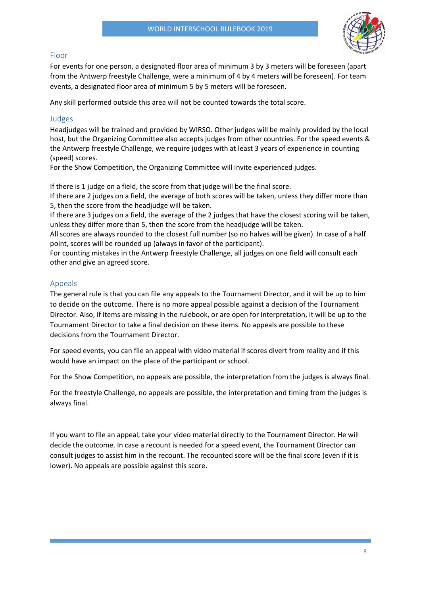

# <span id="page-8-0"></span>Floor

For events for one person, a designated floor area of minimum 3 by 3 meters will be foreseen (apart from the Antwerp freestyle Challenge, were a minimum of 4 by 4 meters will be foreseen). For team events, a designated floor area of minimum 5 by 5 meters will be foreseen.

Any skill performed outside this area will not be counted towards the total score.

# <span id="page-8-1"></span>Judges

Headjudges will be trained and provided by WIRSO. Other judges will be mainly provided by the local host, but the Organizing Committee also accepts judges from other countries. For the speed events & the Antwerp freestyle Challenge, we require judges with at least 3 years of experience in counting (speed) scores.

For the Show Competition, the Organizing Committee will invite experienced judges.

If there is 1 judge on a field, the score from that judge will be the final score.

If there are 2 judges on a field, the average of both scores will be taken, unless they differ more than 5, then the score from the headjudge will be taken.

If there are 3 judges on a field, the average of the 2 judges that have the closest scoring will be taken, unless they differ more than 5, then the score from the headjudge will be taken.

All scores are always rounded to the closest full number (so no halves will be given). In case of a half point, scores will be rounded up (always in favor of the participant).

For counting mistakes in the Antwerp freestyle Challenge, all judges on one field will consult each other and give an agreed score.

# <span id="page-8-2"></span>Appeals

The general rule is that you can file any appeals to the Tournament Director, and it will be up to him to decide on the outcome. There is no more appeal possible against a decision of the Tournament Director. Also, if items are missing in the rulebook, or are open for interpretation, it will be up to the Tournament Director to take a final decision on these items. No appeals are possible to these decisions from the Tournament Director.

For speed events, you can file an appeal with video material if scores divert from reality and if this would have an impact on the place of the participant or school.

For the Show Competition, no appeals are possible, the interpretation from the judges is always final.

For the freestyle Challenge, no appeals are possible, the interpretation and timing from the judges is always final.

If you want to file an appeal, take your video material directly to the Tournament Director. He will decide the outcome. In case a recount is needed for a speed event, the Tournament Director can consult judges to assist him in the recount. The recounted score will be the final score (even if it is lower). No appeals are possible against this score.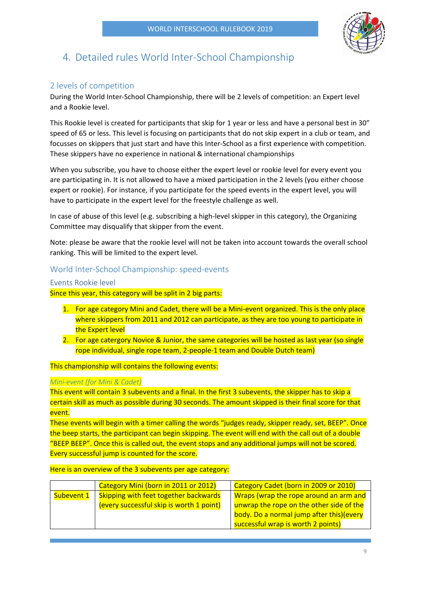

# <span id="page-9-0"></span>4. Detailed rules World Inter-School Championship

# <span id="page-9-1"></span>2 levels of competition

During the World Inter-School Championship, there will be 2 levels of competition: an Expert level and a Rookie level.

This Rookie level is created for participants that skip for 1 year or less and have a personal best in 30" speed of 65 or less. This level is focusing on participants that do not skip expert in a club or team, and focusses on skippers that just start and have this Inter-School as a first experience with competition. These skippers have no experience in national & international championships

When you subscribe, you have to choose either the expert level or rookie level for every event you are participating in. It is not allowed to have a mixed participation in the 2 levels (you either choose expert or rookie). For instance, if you participate for the speed events in the expert level, you will have to participate in the expert level for the freestyle challenge as well.

In case of abuse of this level (e.g. subscribing a high-level skipper in this category), the Organizing Committee may disqualify that skipper from the event.

Note: please be aware that the rookie level will not be taken into account towards the overall school ranking. This will be limited to the expert level.

# <span id="page-9-2"></span>World Inter-School Championship: speed-events

# <span id="page-9-3"></span>Events Rookie level

Since this year, this category will be split in 2 big parts:

- 1. For age category Mini and Cadet, there will be a Mini-event organized. This is the only place where skippers from 2011 and 2012 can participate, as they are too young to participate in the Expert level
- 2. For age catergory Novice & Junior, the same categories will be hosted as last year (so single rope individual, single rope team, 2-people-1 team and Double Dutch team)

This championship will contains the following events:

# *Mini-event (for Mini & Cadet)*

This event will contain 3 subevents and a final. In the first 3 subevents, the skipper has to skip a certain skill as much as possible during 30 seconds. The amount skipped is their final score for that event.

These events will begin with a timer calling the words "judges ready, skipper ready, set, BEEP". Once the beep starts, the participant can begin skipping. The event will end with the call out of a double "BEEP BEEP". Once this is called out, the event stops and any additional jumps will not be scored. Every successful jump is counted for the score.

Here is an overview of the 3 subevents per age category:

|                                                            | Category Mini (born in 2011 or 2012)     | Category Cadet (born in 2009 or 2010)    |  |
|------------------------------------------------------------|------------------------------------------|------------------------------------------|--|
| <b>Skipping with feet together backwards</b><br>Subevent 1 |                                          | Wraps (wrap the rope around an arm and   |  |
|                                                            | (every successful skip is worth 1 point) | unwrap the rope on the other side of the |  |
|                                                            |                                          | body. Do a normal jump after this)(every |  |
|                                                            |                                          | successful wrap is worth 2 points)       |  |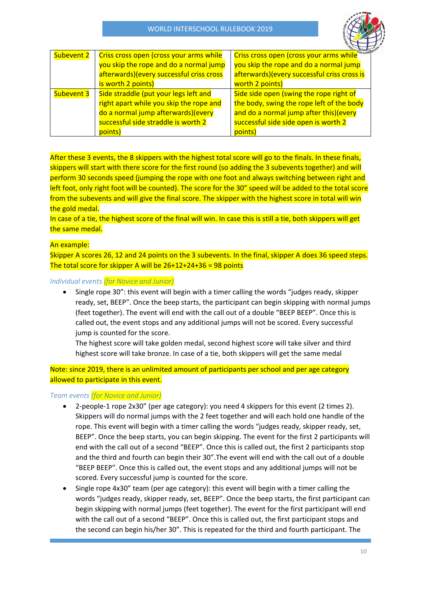

| Subevent 2 | Criss cross open (cross your arms while   | Criss cross open (cross your arms while <sup><sup>mic CHANT</sup></sup> |
|------------|-------------------------------------------|-------------------------------------------------------------------------|
|            | you skip the rope and do a normal jump    | you skip the rope and do a normal jump                                  |
|            | afterwards) (every successful criss cross | afterwards)(every successful criss cross is                             |
|            | is worth 2 points)                        | worth 2 points)                                                         |
| Subevent 3 | Side straddle (put your legs left and     | Side side open (swing the rope right of                                 |
|            | right apart while you skip the rope and   | the body, swing the rope left of the body                               |
|            | do a normal jump afterwards)(every        | and do a normal jump after this)(every                                  |
|            | successful side straddle is worth 2       | successful side side open is worth 2                                    |
|            | points)                                   | points)                                                                 |

After these 3 events, the 8 skippers with the highest total score will go to the finals. In these finals, skippers will start with there score for the first round (so adding the 3 subevents together) and will perform 30 seconds speed (jumping the rope with one foot and always switching between right and left foot, only right foot will be counted). The score for the 30" speed will be added to the total score from the subevents and will give the final score. The skipper with the highest score in total will win the gold medal.

In case of a tie, the highest score of the final will win. In case this is still a tie, both skippers will get the same medal.

# An example:

Skipper A scores 26, 12 and 24 points on the 3 subevents. In the final, skipper A does 36 speed steps. The total score for skipper A will be  $26+12+24+36 = 98$  points

# *Individual events (for Novice and Junior)*

• Single rope 30": this event will begin with a timer calling the words "judges ready, skipper ready, set, BEEP". Once the beep starts, the participant can begin skipping with normal jumps (feet together). The event will end with the call out of a double "BEEP BEEP". Once this is called out, the event stops and any additional jumps will not be scored. Every successful jump is counted for the score.

The highest score will take golden medal, second highest score will take silver and third highest score will take bronze. In case of a tie, both skippers will get the same medal

Note: since 2019, there is an unlimited amount of participants per school and per age category allowed to participate in this event.

### *Team events (for Novice and Junior)*

- 2-people-1 rope 2x30" (per age category): you need 4 skippers for this event (2 times 2). Skippers will do normal jumps with the 2 feet together and will each hold one handle of the rope. This event will begin with a timer calling the words "judges ready, skipper ready, set, BEEP". Once the beep starts, you can begin skipping. The event for the first 2 participants will end with the call out of a second "BEEP". Once this is called out, the first 2 participants stop and the third and fourth can begin their 30".The event will end with the call out of a double "BEEP BEEP". Once this is called out, the event stops and any additional jumps will not be scored. Every successful jump is counted for the score.
- Single rope 4x30" team (per age category): this event will begin with a timer calling the words "judges ready, skipper ready, set, BEEP". Once the beep starts, the first participant can begin skipping with normal jumps (feet together). The event for the first participant will end with the call out of a second "BEEP". Once this is called out, the first participant stops and the second can begin his/her 30". This is repeated for the third and fourth participant. The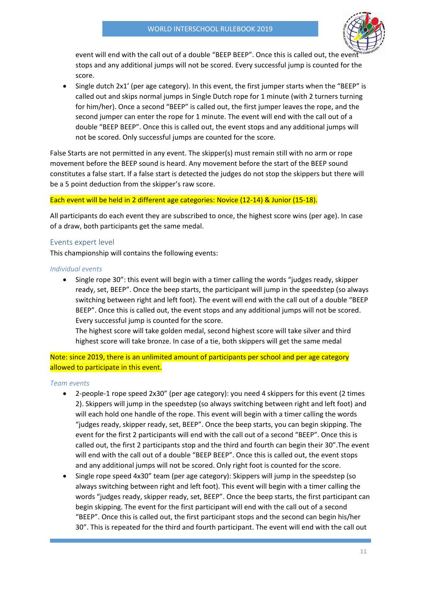

event will end with the call out of a double "BEEP BEEP". Once this is called out, the event stops and any additional jumps will not be scored. Every successful jump is counted for the score.

• Single dutch 2x1' (per age category). In this event, the first jumper starts when the "BEEP" is called out and skips normal jumps in Single Dutch rope for 1 minute (with 2 turners turning for him/her). Once a second "BEEP" is called out, the first jumper leaves the rope, and the second jumper can enter the rope for 1 minute. The event will end with the call out of a double "BEEP BEEP". Once this is called out, the event stops and any additional jumps will not be scored. Only successful jumps are counted for the score.

False Starts are not permitted in any event. The skipper(s) must remain still with no arm or rope movement before the BEEP sound is heard. Any movement before the start of the BEEP sound constitutes a false start. If a false start is detected the judges do not stop the skippers but there will be a 5 point deduction from the skipper's raw score.

# Each event will be held in 2 different age categories: Novice (12-14) & Junior (15-18).

All participants do each event they are subscribed to once, the highest score wins (per age). In case of a draw, both participants get the same medal.

# <span id="page-11-0"></span>Events expert level

This championship will contains the following events:

### *Individual events*

• Single rope 30": this event will begin with a timer calling the words "judges ready, skipper ready, set, BEEP". Once the beep starts, the participant will jump in the speedstep (so always switching between right and left foot). The event will end with the call out of a double "BEEP BEEP". Once this is called out, the event stops and any additional jumps will not be scored. Every successful jump is counted for the score.

The highest score will take golden medal, second highest score will take silver and third highest score will take bronze. In case of a tie, both skippers will get the same medal

Note: since 2019, there is an unlimited amount of participants per school and per age category allowed to participate in this event.

### *Team events*

- 2-people-1 rope speed 2x30" (per age category): you need 4 skippers for this event (2 times 2). Skippers will jump in the speedstep (so always switching between right and left foot) and will each hold one handle of the rope. This event will begin with a timer calling the words "judges ready, skipper ready, set, BEEP". Once the beep starts, you can begin skipping. The event for the first 2 participants will end with the call out of a second "BEEP". Once this is called out, the first 2 participants stop and the third and fourth can begin their 30".The event will end with the call out of a double "BEEP BEEP". Once this is called out, the event stops and any additional jumps will not be scored. Only right foot is counted for the score.
- Single rope speed 4x30" team (per age category): Skippers will jump in the speedstep (so always switching between right and left foot). This event will begin with a timer calling the words "judges ready, skipper ready, set, BEEP". Once the beep starts, the first participant can begin skipping. The event for the first participant will end with the call out of a second "BEEP". Once this is called out, the first participant stops and the second can begin his/her 30". This is repeated for the third and fourth participant. The event will end with the call out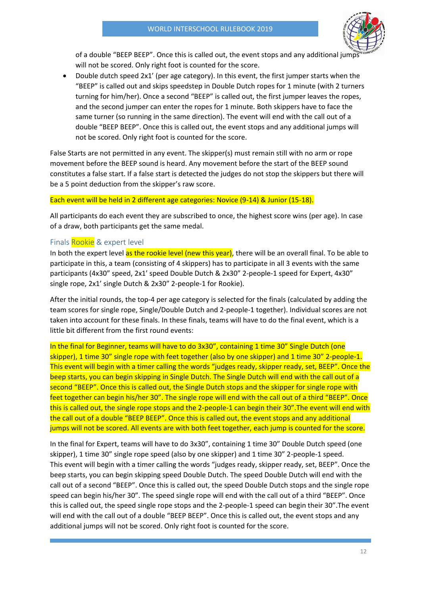

of a double "BEEP BEEP". Once this is called out, the event stops and any additional jumps will not be scored. Only right foot is counted for the score.

• Double dutch speed 2x1' (per age category). In this event, the first jumper starts when the "BEEP" is called out and skips speedstep in Double Dutch ropes for 1 minute (with 2 turners turning for him/her). Once a second "BEEP" is called out, the first jumper leaves the ropes, and the second jumper can enter the ropes for 1 minute. Both skippers have to face the same turner (so running in the same direction). The event will end with the call out of a double "BEEP BEEP". Once this is called out, the event stops and any additional jumps will not be scored. Only right foot is counted for the score.

False Starts are not permitted in any event. The skipper(s) must remain still with no arm or rope movement before the BEEP sound is heard. Any movement before the start of the BEEP sound constitutes a false start. If a false start is detected the judges do not stop the skippers but there will be a 5 point deduction from the skipper's raw score.

#### Each event will be held in 2 different age categories: Novice (9-14) & Junior (15-18).

All participants do each event they are subscribed to once, the highest score wins (per age). In case of a draw, both participants get the same medal.

### <span id="page-12-0"></span>Finals Rookie & expert level

In both the expert level as the rookie level (new this year), there will be an overall final. To be able to participate in this, a team (consisting of 4 skippers) has to participate in all 3 events with the same participants (4x30" speed, 2x1' speed Double Dutch & 2x30" 2-people-1 speed for Expert, 4x30" single rope, 2x1' single Dutch & 2x30" 2-people-1 for Rookie).

After the initial rounds, the top-4 per age category is selected for the finals (calculated by adding the team scores for single rope, Single/Double Dutch and 2-people-1 together). Individual scores are not taken into account for these finals. In these finals, teams will have to do the final event, which is a little bit different from the first round events:

# In the final for Beginner, teams will have to do 3x30", containing 1 time 30" Single Dutch (one skipper), 1 time 30" single rope with feet together (also by one skipper) and 1 time 30" 2-people-1. This event will begin with a timer calling the words "judges ready, skipper ready, set, BEEP". Once the beep starts, you can begin skipping in Single Dutch. The Single Dutch will end with the call out of a second "BEEP". Once this is called out, the Single Dutch stops and the skipper for single rope with feet together can begin his/her 30". The single rope will end with the call out of a third "BEEP". Once this is called out, the single rope stops and the 2-people-1 can begin their 30". The event will end with the call out of a double "BEEP BEEP". Once this is called out, the event stops and any additional jumps will not be scored. All events are with both feet together, each jump is counted for the score.

In the final for Expert, teams will have to do 3x30", containing 1 time 30" Double Dutch speed (one skipper), 1 time 30" single rope speed (also by one skipper) and 1 time 30" 2-people-1 speed. This event will begin with a timer calling the words "judges ready, skipper ready, set, BEEP". Once the beep starts, you can begin skipping speed Double Dutch. The speed Double Dutch will end with the call out of a second "BEEP". Once this is called out, the speed Double Dutch stops and the single rope speed can begin his/her 30". The speed single rope will end with the call out of a third "BEEP". Once this is called out, the speed single rope stops and the 2-people-1 speed can begin their 30".The event will end with the call out of a double "BEEP BEEP". Once this is called out, the event stops and any additional jumps will not be scored. Only right foot is counted for the score.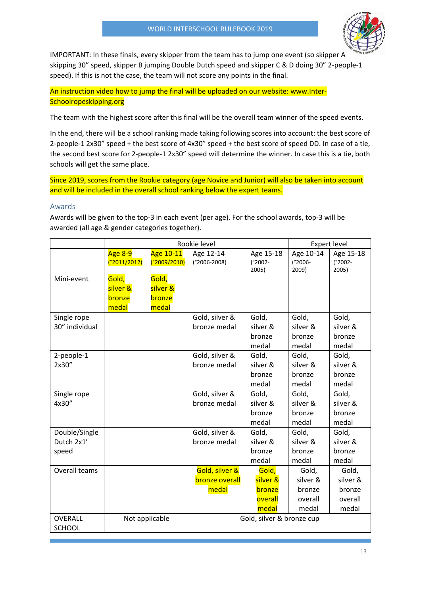

IMPORTANT: In these finals, every skipper from the team has to jump one event (so skipper A skipping 30" speed, skipper B jumping Double Dutch speed and skipper C & D doing 30" 2-people-1 speed). If this is not the case, the team will not score any points in the final.

An instruction video how to jump the final will be uploaded on our website: www.Inter-Schoolropeskipping.org

The team with the highest score after this final will be the overall team winner of the speed events.

In the end, there will be a school ranking made taking following scores into account: the best score of 2-people-1 2x30" speed + the best score of 4x30" speed + the best score of speed DD. In case of a tie, the second best score for 2-people-1 2x30" speed will determine the winner. In case this is a tie, both schools will get the same place.

Since 2019, scores from the Rookie category (age Novice and Junior) will also be taken into account and will be included in the overall school ranking below the expert teams.

# <span id="page-13-0"></span>Awards

Awards will be given to the top-3 in each event (per age). For the school awards, top-3 will be awarded (all age & gender categories together).

|                                      | Rookie level                                |                                      |                                                  | <b>Expert level</b>                             |                                                 |                                                 |
|--------------------------------------|---------------------------------------------|--------------------------------------|--------------------------------------------------|-------------------------------------------------|-------------------------------------------------|-------------------------------------------------|
|                                      | Age 8-9<br>(°2011/2012)                     | Age 10-11<br>(°2009/2010)            | Age 12-14<br>$(^{\circ}2006 - 2008)$             | Age 15-18<br>$(^{\circ}2002 -$<br>2005)         | Age 10-14<br>$(^{\circ}2006 -$<br>2009)         | Age 15-18<br>$(^{\circ}2002 -$<br>2005)         |
| Mini-event                           | Gold,<br>silver &<br>bronze<br>medal        | Gold,<br>silver &<br>bronze<br>medal |                                                  |                                                 |                                                 |                                                 |
| Single rope<br>30" individual        |                                             |                                      | Gold, silver &<br>bronze medal                   | Gold,<br>silver &<br>bronze<br>medal            | Gold,<br>silver &<br>bronze<br>medal            | Gold,<br>silver &<br>bronze<br>medal            |
| 2-people-1<br>2x30"                  |                                             |                                      | Gold, silver &<br>bronze medal                   | Gold,<br>silver &<br>bronze<br>medal            | Gold,<br>silver &<br>bronze<br>medal            | Gold,<br>silver &<br>bronze<br>medal            |
| Single rope<br>4x30"                 |                                             |                                      | Gold, silver &<br>bronze medal                   | Gold,<br>silver &<br>bronze<br>medal            | Gold,<br>silver &<br>bronze<br>medal            | Gold,<br>silver &<br>bronze<br>medal            |
| Double/Single<br>Dutch 2x1'<br>speed |                                             |                                      | Gold, silver &<br>bronze medal                   | Gold,<br>silver &<br>bronze<br>medal            | Gold,<br>silver &<br>bronze<br>medal            | Gold,<br>silver &<br>bronze<br>medal            |
| Overall teams                        |                                             |                                      | Gold, silver &<br><b>bronze overall</b><br>medal | Gold,<br>silver &<br>bronze<br>overall<br>medal | Gold,<br>silver &<br>bronze<br>overall<br>medal | Gold,<br>silver &<br>bronze<br>overall<br>medal |
| <b>OVERALL</b><br><b>SCHOOL</b>      | Gold, silver & bronze cup<br>Not applicable |                                      |                                                  |                                                 |                                                 |                                                 |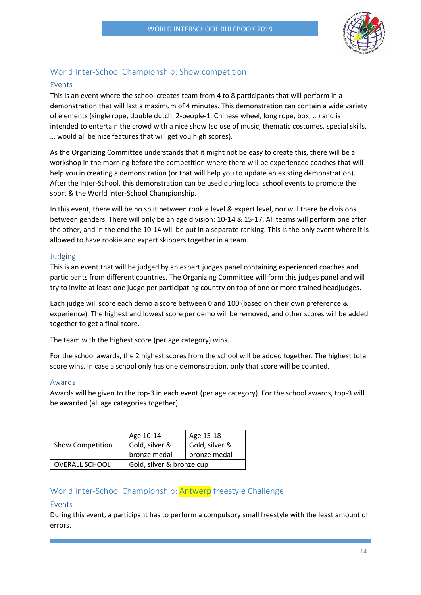

# <span id="page-14-0"></span>World Inter-School Championship: Show competition

# <span id="page-14-1"></span>Events

This is an event where the school creates team from 4 to 8 participants that will perform in a demonstration that will last a maximum of 4 minutes. This demonstration can contain a wide variety of elements (single rope, double dutch, 2-people-1, Chinese wheel, long rope, box, …) and is intended to entertain the crowd with a nice show (so use of music, thematic costumes, special skills, … would all be nice features that will get you high scores).

As the Organizing Committee understands that it might not be easy to create this, there will be a workshop in the morning before the competition where there will be experienced coaches that will help you in creating a demonstration (or that will help you to update an existing demonstration). After the Inter-School, this demonstration can be used during local school events to promote the sport & the World Inter-School Championship.

In this event, there will be no split between rookie level & expert level, nor will there be divisions between genders. There will only be an age division: 10-14 & 15-17. All teams will perform one after the other, and in the end the 10-14 will be put in a separate ranking. This is the only event where it is allowed to have rookie and expert skippers together in a team.

# <span id="page-14-2"></span>Judging

This is an event that will be judged by an expert judges panel containing experienced coaches and participants from different countries. The Organizing Committee will form this judges panel and will try to invite at least one judge per participating country on top of one or more trained headjudges.

Each judge will score each demo a score between 0 and 100 (based on their own preference & experience). The highest and lowest score per demo will be removed, and other scores will be added together to get a final score.

The team with the highest score (per age category) wins.

For the school awards, the 2 highest scores from the school will be added together. The highest total score wins. In case a school only has one demonstration, only that score will be counted.

# <span id="page-14-3"></span>Awards

Awards will be given to the top-3 in each event (per age category). For the school awards, top-3 will be awarded (all age categories together).

|                         | Age 10-14                 | Age 15-18      |  |
|-------------------------|---------------------------|----------------|--|
| <b>Show Competition</b> | Gold, silver &            | Gold, silver & |  |
|                         | bronze medal              | bronze medal   |  |
| <b>OVERALL SCHOOL</b>   | Gold, silver & bronze cup |                |  |

# <span id="page-14-4"></span>World Inter-School Championship: Antwerp freestyle Challenge

# <span id="page-14-5"></span>Events

During this event, a participant has to perform a compulsory small freestyle with the least amount of errors.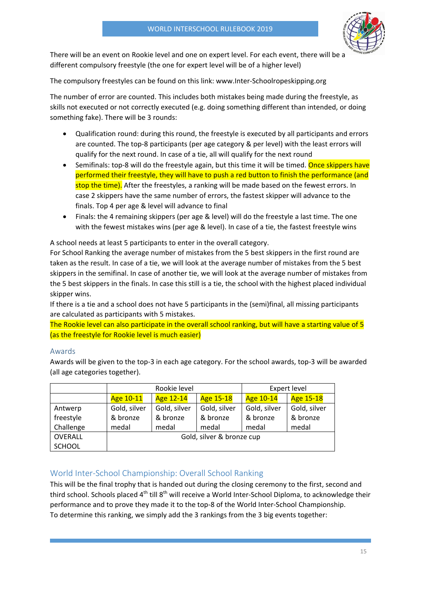

There will be an event on Rookie level and one on expert level. For each event, there will be a different compulsory freestyle (the one for expert level will be of a higher level)

The compulsory freestyles can be found on this link: www.Inter-Schoolropeskipping.org

The number of error are counted. This includes both mistakes being made during the freestyle, as skills not executed or not correctly executed (e.g. doing something different than intended, or doing something fake). There will be 3 rounds:

- Qualification round: during this round, the freestyle is executed by all participants and errors are counted. The top-8 participants (per age category & per level) with the least errors will qualify for the next round. In case of a tie, all will qualify for the next round
- Semifinals: top-8 will do the freestyle again, but this time it will be timed. Once skippers have performed their freestyle, they will have to push a red button to finish the performance (and stop the time). After the freestyles, a ranking will be made based on the fewest errors. In case 2 skippers have the same number of errors, the fastest skipper will advance to the finals. Top 4 per age & level will advance to final
- Finals: the 4 remaining skippers (per age & level) will do the freestyle a last time. The one with the fewest mistakes wins (per age & level). In case of a tie, the fastest freestyle wins

A school needs at least 5 participants to enter in the overall category.

For School Ranking the average number of mistakes from the 5 best skippers in the first round are taken as the result. In case of a tie, we will look at the average number of mistakes from the 5 best skippers in the semifinal. In case of another tie, we will look at the average number of mistakes from the 5 best skippers in the finals. In case this still is a tie, the school with the highest placed individual skipper wins.

If there is a tie and a school does not have 5 participants in the (semi)final, all missing participants are calculated as participants with 5 mistakes.

The Rookie level can also participate in the overall school ranking, but will have a starting value of 5 (as the freestyle for Rookie level is much easier)

# <span id="page-15-0"></span>Awards

Awards will be given to the top-3 in each age category. For the school awards, top-3 will be awarded (all age categories together).

|               | Rookie level              |              |              | <b>Expert level</b> |              |
|---------------|---------------------------|--------------|--------------|---------------------|--------------|
|               | Age 10-11                 | Age 12-14    | Age 15-18    | Age 10-14           | Age 15-18    |
| Antwerp       | Gold, silver              | Gold, silver | Gold, silver | Gold, silver        | Gold, silver |
| freestyle     | & bronze                  | & bronze     | & bronze     | & bronze            | & bronze     |
| Challenge     | medal                     | medal        | medal        | medal               | medal        |
| OVERALL       | Gold, silver & bronze cup |              |              |                     |              |
| <b>SCHOOL</b> |                           |              |              |                     |              |

# <span id="page-15-1"></span>World Inter-School Championship: Overall School Ranking

This will be the final trophy that is handed out during the closing ceremony to the first, second and third school. Schools placed 4<sup>th</sup> till 8<sup>th</sup> will receive a World Inter-School Diploma, to acknowledge their performance and to prove they made it to the top-8 of the World Inter-School Championship. To determine this ranking, we simply add the 3 rankings from the 3 big events together: